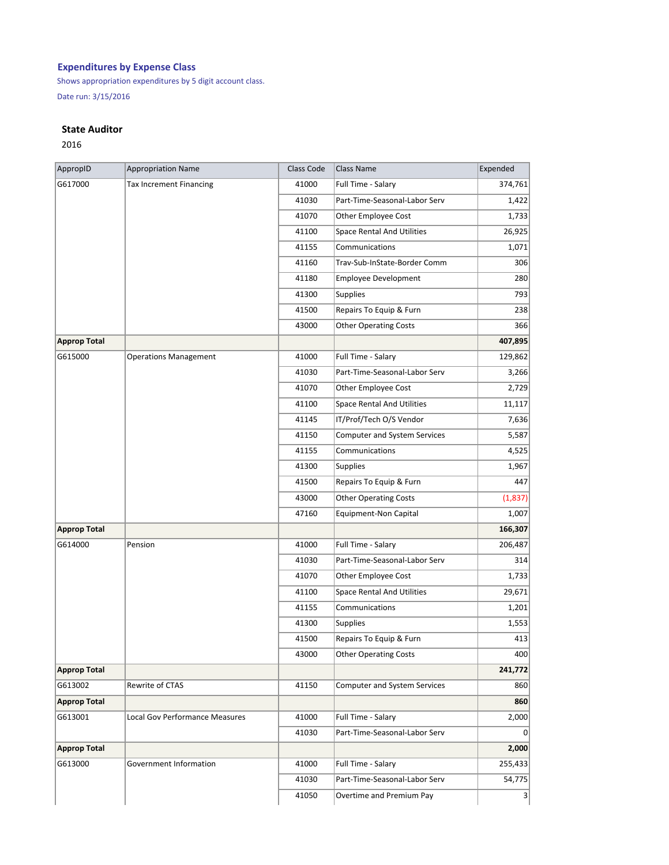## **Expenditures by Expense Class**

Shows appropriation expenditures by 5 digit account class.

Date run: 3/15/2016

## **State Auditor**

2016

| AppropID            | <b>Appropriation Name</b>             | Class Code | Class Name                          | Expended |
|---------------------|---------------------------------------|------------|-------------------------------------|----------|
| G617000             | <b>Tax Increment Financing</b>        | 41000      | Full Time - Salary                  | 374,761  |
|                     |                                       | 41030      | Part-Time-Seasonal-Labor Serv       | 1,422    |
|                     |                                       | 41070      | Other Employee Cost                 | 1,733    |
|                     |                                       | 41100      | <b>Space Rental And Utilities</b>   | 26,925   |
|                     |                                       | 41155      | Communications                      | 1,071    |
|                     |                                       | 41160      | Trav-Sub-InState-Border Comm        | 306      |
|                     |                                       | 41180      | <b>Employee Development</b>         | 280      |
|                     |                                       | 41300      | <b>Supplies</b>                     | 793      |
|                     |                                       | 41500      | Repairs To Equip & Furn             | 238      |
|                     |                                       | 43000      | <b>Other Operating Costs</b>        | 366      |
| <b>Approp Total</b> |                                       |            |                                     | 407,895  |
| G615000             | <b>Operations Management</b>          | 41000      | Full Time - Salary                  | 129,862  |
|                     |                                       | 41030      | Part-Time-Seasonal-Labor Serv       | 3,266    |
|                     |                                       | 41070      | Other Employee Cost                 | 2,729    |
|                     |                                       | 41100      | <b>Space Rental And Utilities</b>   | 11,117   |
|                     |                                       | 41145      | IT/Prof/Tech O/S Vendor             | 7,636    |
|                     |                                       | 41150      | Computer and System Services        | 5,587    |
|                     |                                       | 41155      | Communications                      | 4,525    |
|                     |                                       | 41300      | Supplies                            | 1,967    |
|                     |                                       | 41500      | Repairs To Equip & Furn             | 447      |
|                     |                                       | 43000      | <b>Other Operating Costs</b>        | (1,837)  |
|                     |                                       | 47160      | <b>Equipment-Non Capital</b>        | 1,007    |
| <b>Approp Total</b> |                                       |            |                                     | 166,307  |
| G614000             | Pension                               | 41000      | Full Time - Salary                  | 206,487  |
|                     |                                       | 41030      | Part-Time-Seasonal-Labor Serv       | 314      |
|                     |                                       | 41070      | Other Employee Cost                 | 1,733    |
|                     |                                       | 41100      | <b>Space Rental And Utilities</b>   | 29,671   |
|                     |                                       | 41155      | Communications                      | 1,201    |
|                     |                                       | 41300      | <b>Supplies</b>                     | 1,553    |
|                     |                                       | 41500      | Repairs To Equip & Furn             | 413      |
|                     |                                       | 43000      | <b>Other Operating Costs</b>        | 400      |
| <b>Approp Total</b> |                                       |            |                                     | 241,772  |
| G613002             | Rewrite of CTAS                       | 41150      | <b>Computer and System Services</b> | 860      |
| <b>Approp Total</b> |                                       |            |                                     | 860      |
| G613001             | <b>Local Gov Performance Measures</b> | 41000      | Full Time - Salary                  | 2,000    |
|                     |                                       | 41030      | Part-Time-Seasonal-Labor Serv       | 0        |
| <b>Approp Total</b> |                                       |            |                                     | 2,000    |
| G613000             | Government Information                | 41000      | Full Time - Salary                  | 255,433  |
|                     |                                       | 41030      | Part-Time-Seasonal-Labor Serv       | 54,775   |
|                     |                                       | 41050      | Overtime and Premium Pay            | 3        |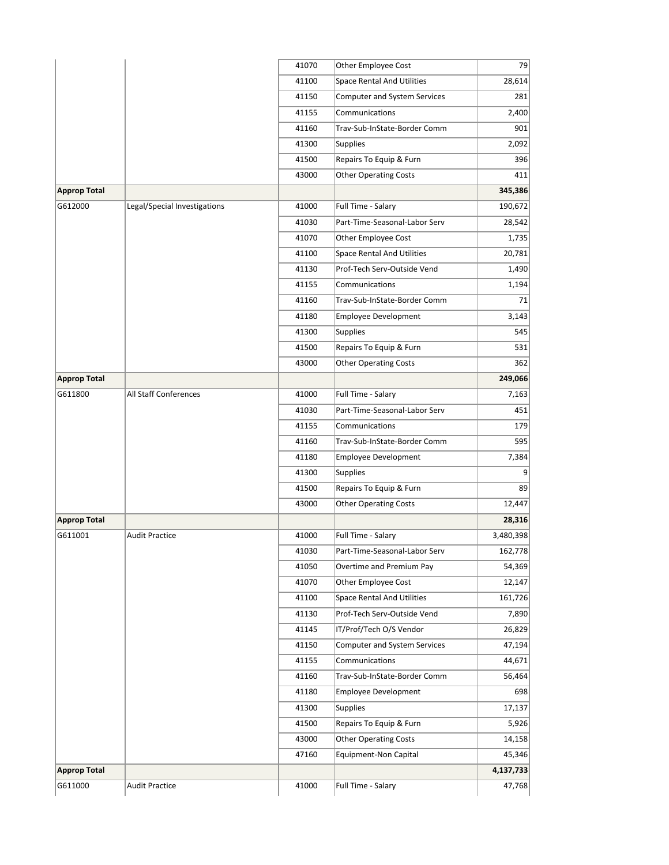|                     |                              | 41070 | <b>Other Employee Cost</b>        | 79        |
|---------------------|------------------------------|-------|-----------------------------------|-----------|
|                     |                              | 41100 | <b>Space Rental And Utilities</b> | 28,614    |
|                     |                              | 41150 | Computer and System Services      | 281       |
|                     |                              | 41155 | Communications                    | 2,400     |
|                     |                              | 41160 | Trav-Sub-InState-Border Comm      | 901       |
|                     |                              | 41300 | <b>Supplies</b>                   | 2,092     |
|                     |                              | 41500 | Repairs To Equip & Furn           | 396       |
|                     |                              | 43000 | <b>Other Operating Costs</b>      | 411       |
| Approp Total        |                              |       |                                   | 345,386   |
| G612000             | Legal/Special Investigations | 41000 | Full Time - Salary                | 190,672   |
|                     |                              | 41030 | Part-Time-Seasonal-Labor Serv     | 28,542    |
|                     |                              | 41070 | Other Employee Cost               | 1,735     |
|                     |                              | 41100 | <b>Space Rental And Utilities</b> | 20,781    |
|                     |                              | 41130 | Prof-Tech Serv-Outside Vend       | 1,490     |
|                     |                              | 41155 | Communications                    | 1,194     |
|                     |                              | 41160 | Trav-Sub-InState-Border Comm      | 71        |
|                     |                              | 41180 | <b>Employee Development</b>       | 3,143     |
|                     |                              | 41300 | Supplies                          | 545       |
|                     |                              | 41500 | Repairs To Equip & Furn           | 531       |
|                     |                              | 43000 | <b>Other Operating Costs</b>      | 362       |
| <b>Approp Total</b> |                              |       |                                   | 249,066   |
| G611800             | All Staff Conferences        | 41000 | Full Time - Salary                | 7,163     |
|                     |                              | 41030 | Part-Time-Seasonal-Labor Serv     | 451       |
|                     |                              | 41155 | Communications                    | 179       |
|                     |                              | 41160 | Trav-Sub-InState-Border Comm      | 595       |
|                     |                              | 41180 | <b>Employee Development</b>       | 7,384     |
|                     |                              | 41300 | <b>Supplies</b>                   | 9         |
|                     |                              | 41500 | Repairs To Equip & Furn           | 89        |
|                     |                              | 43000 | <b>Other Operating Costs</b>      | 12,447    |
| Approp Total        |                              |       |                                   | 28,316    |
| G611001             | <b>Audit Practice</b>        | 41000 | Full Time - Salary                | 3,480,398 |
|                     |                              | 41030 | Part-Time-Seasonal-Labor Serv     | 162,778   |
|                     |                              | 41050 | Overtime and Premium Pay          | 54,369    |
|                     |                              | 41070 | <b>Other Employee Cost</b>        | 12,147    |
|                     |                              |       | <b>Space Rental And Utilities</b> | 161,726   |
|                     |                              | 41100 |                                   |           |
|                     |                              | 41130 | Prof-Tech Serv-Outside Vend       | 7,890     |
|                     |                              | 41145 | IT/Prof/Tech O/S Vendor           | 26,829    |
|                     |                              | 41150 | Computer and System Services      | 47,194    |
|                     |                              | 41155 | Communications                    | 44,671    |
|                     |                              | 41160 | Trav-Sub-InState-Border Comm      | 56,464    |
|                     |                              | 41180 | <b>Employee Development</b>       | 698       |
|                     |                              | 41300 | <b>Supplies</b>                   | 17,137    |
|                     |                              | 41500 | Repairs To Equip & Furn           | 5,926     |
|                     |                              | 43000 | <b>Other Operating Costs</b>      | 14,158    |
|                     |                              | 47160 | Equipment-Non Capital             | 45,346    |
| <b>Approp Total</b> |                              |       |                                   | 4,137,733 |
| G611000             | <b>Audit Practice</b>        | 41000 | Full Time - Salary                | 47,768    |